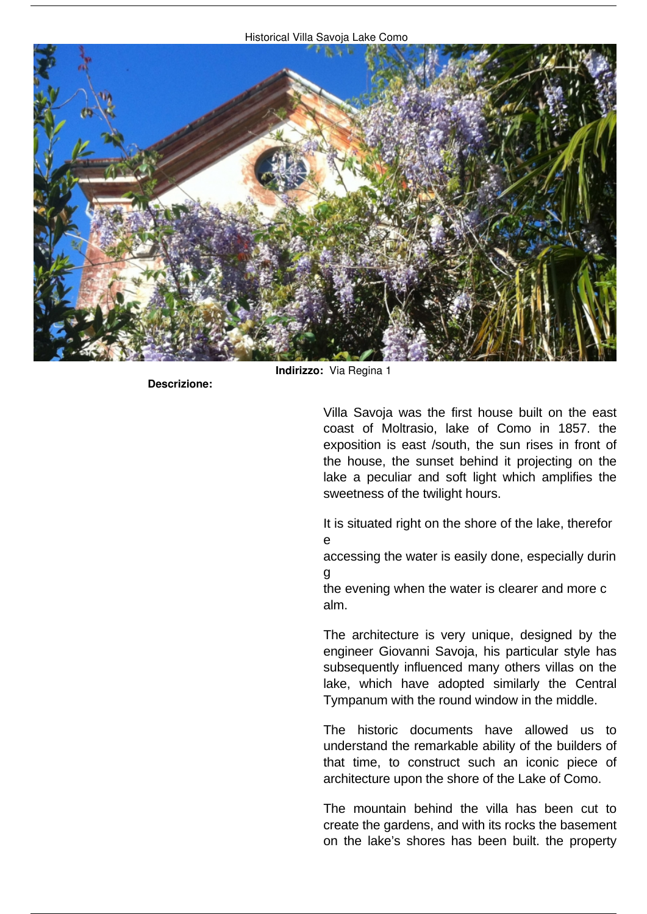

**Descrizione:** 

**Indirizzo:** *Via Regina 1*

Villa Savoja was the first house built on the east coast of Moltrasio, lake of Como in 1857. the exposition is east /south, the sun rises in front of the house, the sunset behind it projecting on the lake a peculiar and soft light which amplifies the sweetness of the twilight hours.

It is situated right on the shore of the lake, therefor e

accessing the water is easily done, especially durin g

the evening when the water is clearer and more c alm.

The architecture is very unique, designed by the engineer Giovanni Savoja, his particular style has subsequently influenced many others villas on the lake, which have adopted similarly the Central Tympanum with the round window in the middle.

The historic documents have allowed us to understand the remarkable ability of the builders of that time, to construct such an iconic piece of architecture upon the shore of the Lake of Como.

The mountain behind the villa has been cut to create the gardens, and with its rocks the basement on the lake's shores has been built. the property